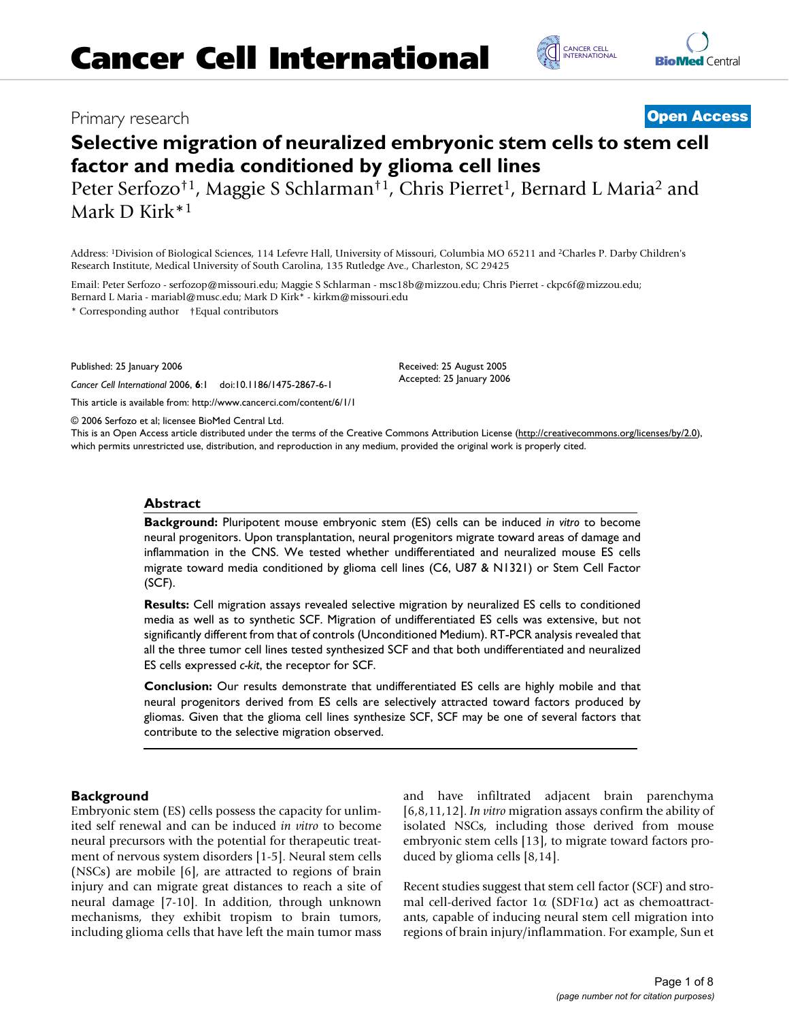## Primary research **[Open Access](http://www.biomedcentral.com/info/about/charter/)**

# **Selective migration of neuralized embryonic stem cells to stem cell factor and media conditioned by glioma cell lines**

Peter Serfozo<sup>†1</sup>, Maggie S Schlarman<sup>†1</sup>, Chris Pierret<sup>1</sup>, Bernard L Maria<sup>2</sup> and Mark D Kirk\*1

Address: 1Division of Biological Sciences, 114 Lefevre Hall, University of Missouri, Columbia MO 65211 and 2Charles P. Darby Children's Research Institute, Medical University of South Carolina, 135 Rutledge Ave., Charleston, SC 29425

Email: Peter Serfozo - serfozop@missouri.edu; Maggie S Schlarman - msc18b@mizzou.edu; Chris Pierret - ckpc6f@mizzou.edu; Bernard L Maria - mariabl@musc.edu; Mark D Kirk\* - kirkm@missouri.edu

\* Corresponding author †Equal contributors

Published: 25 January 2006

*Cancer Cell International* 2006, **6**:1 doi:10.1186/1475-2867-6-1

[This article is available from: http://www.cancerci.com/content/6/1/1](http://www.cancerci.com/content/6/1/1)

© 2006 Serfozo et al; licensee BioMed Central Ltd.

This is an Open Access article distributed under the terms of the Creative Commons Attribution License [\(http://creativecommons.org/licenses/by/2.0\)](http://creativecommons.org/licenses/by/2.0), which permits unrestricted use, distribution, and reproduction in any medium, provided the original work is properly cited.

Received: 25 August 2005 Accepted: 25 January 2006

#### **Abstract**

**Background:** Pluripotent mouse embryonic stem (ES) cells can be induced *in vitro* to become neural progenitors. Upon transplantation, neural progenitors migrate toward areas of damage and inflammation in the CNS. We tested whether undifferentiated and neuralized mouse ES cells migrate toward media conditioned by glioma cell lines (C6, U87 & N1321) or Stem Cell Factor (SCF).

**Results:** Cell migration assays revealed selective migration by neuralized ES cells to conditioned media as well as to synthetic SCF. Migration of undifferentiated ES cells was extensive, but not significantly different from that of controls (Unconditioned Medium). RT-PCR analysis revealed that all the three tumor cell lines tested synthesized SCF and that both undifferentiated and neuralized ES cells expressed *c-kit*, the receptor for SCF.

**Conclusion:** Our results demonstrate that undifferentiated ES cells are highly mobile and that neural progenitors derived from ES cells are selectively attracted toward factors produced by gliomas. Given that the glioma cell lines synthesize SCF, SCF may be one of several factors that contribute to the selective migration observed.

## **Background**

Embryonic stem (ES) cells possess the capacity for unlimited self renewal and can be induced *in vitro* to become neural precursors with the potential for therapeutic treatment of nervous system disorders [1-5]. Neural stem cells (NSCs) are mobile [6], are attracted to regions of brain injury and can migrate great distances to reach a site of neural damage [7-10]. In addition, through unknown mechanisms, they exhibit tropism to brain tumors, including glioma cells that have left the main tumor mass and have infiltrated adjacent brain parenchyma [6,8,11,12]. *In vitro* migration assays confirm the ability of isolated NSCs, including those derived from mouse embryonic stem cells [13], to migrate toward factors produced by glioma cells [8,14].

Recent studies suggest that stem cell factor (SCF) and stromal cell-derived factor  $1\alpha$  (SDF1 $\alpha$ ) act as chemoattractants, capable of inducing neural stem cell migration into regions of brain injury/inflammation. For example, Sun et



C [INTERNATIONAL](http://www.cancerci.com) CANCER CELL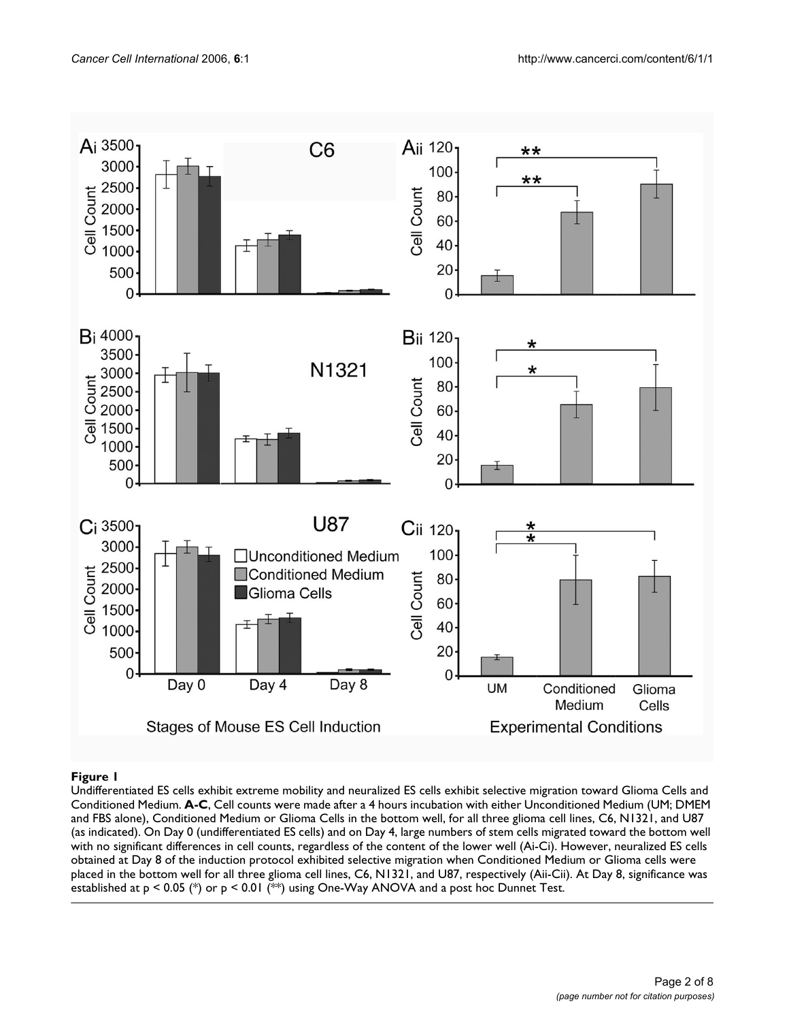

Undifferentiated ES cells exhibit extreme Conditioned Medium **Figure 1** mobility and neuralized ES cells exhibit selective migration toward Glioma Cells and Undifferentiated ES cells exhibit extreme mobility and neuralized ES cells exhibit selective migration toward Glioma Cells and Conditioned Medium. **A-C**, Cell counts were made after a 4 hours incubation with either Unconditioned Medium (UM; DMEM and FBS alone), Conditioned Medium or Glioma Cells in the bottom well, for all three glioma cell lines, C6, N1321, and U87 (as indicated). On Day 0 (undifferentiated ES cells) and on Day 4, large numbers of stem cells migrated toward the bottom well with no significant differences in cell counts, regardless of the content of the lower well (Ai-Ci). However, neuralized ES cells obtained at Day 8 of the induction protocol exhibited selective migration when Conditioned Medium or Glioma cells were placed in the bottom well for all three glioma cell lines, C6, N1321, and U87, respectively (Aii-Cii). At Day 8, significance was established at p < 0.05 (\*) or p < 0.01 (\*\*) using One-Way ANOVA and a post hoc Dunnet Test.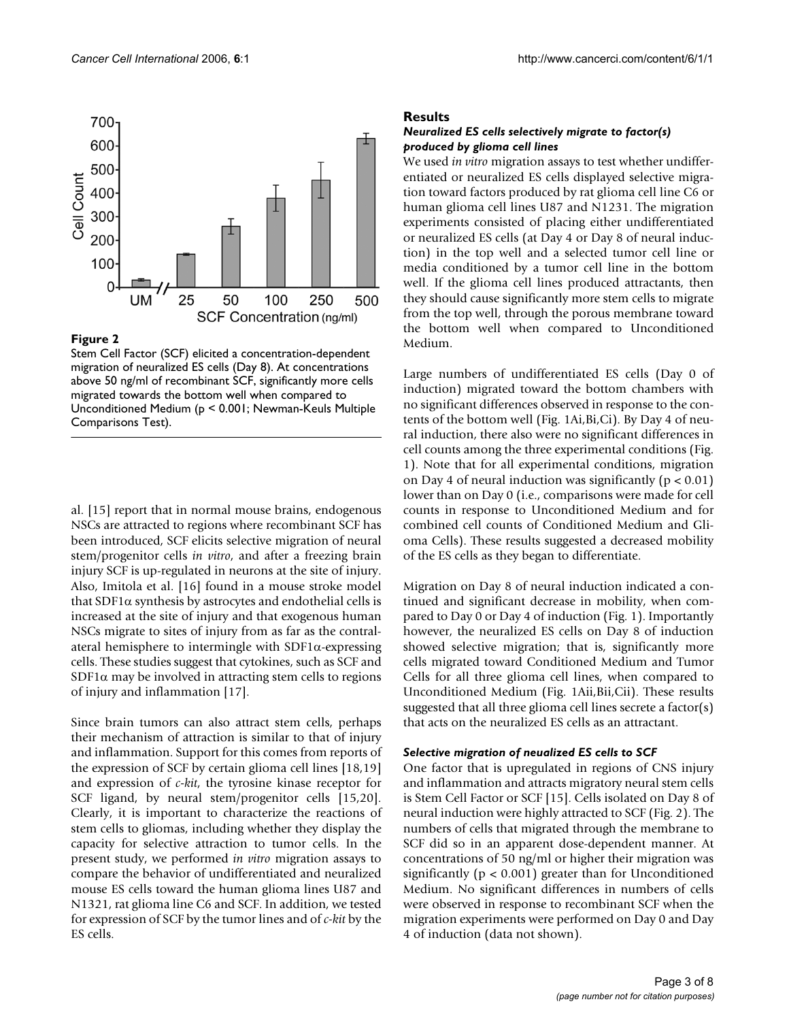

## Figure 2

Stem Cell Factor (SCF) elicited a concentration-dependent migration of neuralized ES cells (Day 8). At concentrations above 50 ng/ml of recombinant SCF, significantly more cells migrated towards the bottom well when compared to Unconditioned Medium (p < 0.001; Newman-Keuls Multiple Comparisons Test).

al. [15] report that in normal mouse brains, endogenous NSCs are attracted to regions where recombinant SCF has been introduced, SCF elicits selective migration of neural stem/progenitor cells *in vitro*, and after a freezing brain injury SCF is up-regulated in neurons at the site of injury. Also, Imitola et al. [16] found in a mouse stroke model that SDF1 $α$  synthesis by astrocytes and endothelial cells is increased at the site of injury and that exogenous human NSCs migrate to sites of injury from as far as the contralateral hemisphere to intermingle with  $SDF1\alpha$ -expressing cells. These studies suggest that cytokines, such as SCF and SDF1 $\alpha$  may be involved in attracting stem cells to regions of injury and inflammation [17].

Since brain tumors can also attract stem cells, perhaps their mechanism of attraction is similar to that of injury and inflammation. Support for this comes from reports of the expression of SCF by certain glioma cell lines [18,19] and expression of *c-kit*, the tyrosine kinase receptor for SCF ligand, by neural stem/progenitor cells [15,20]. Clearly, it is important to characterize the reactions of stem cells to gliomas, including whether they display the capacity for selective attraction to tumor cells. In the present study, we performed *in vitro* migration assays to compare the behavior of undifferentiated and neuralized mouse ES cells toward the human glioma lines U87 and N1321, rat glioma line C6 and SCF. In addition, we tested for expression of SCF by the tumor lines and of *c-kit* by the ES cells.

## **Results**

## *Neuralized ES cells selectively migrate to factor(s) produced by glioma cell lines*

We used *in vitro* migration assays to test whether undifferentiated or neuralized ES cells displayed selective migration toward factors produced by rat glioma cell line C6 or human glioma cell lines U87 and N1231. The migration experiments consisted of placing either undifferentiated or neuralized ES cells (at Day 4 or Day 8 of neural induction) in the top well and a selected tumor cell line or media conditioned by a tumor cell line in the bottom well. If the glioma cell lines produced attractants, then they should cause significantly more stem cells to migrate from the top well, through the porous membrane toward the bottom well when compared to Unconditioned Medium.

Large numbers of undifferentiated ES cells (Day 0 of induction) migrated toward the bottom chambers with no significant differences observed in response to the contents of the bottom well (Fig. 1Ai,Bi,Ci). By Day 4 of neural induction, there also were no significant differences in cell counts among the three experimental conditions (Fig. 1). Note that for all experimental conditions, migration on Day 4 of neural induction was significantly ( $p < 0.01$ ) lower than on Day 0 (i.e., comparisons were made for cell counts in response to Unconditioned Medium and for combined cell counts of Conditioned Medium and Glioma Cells). These results suggested a decreased mobility of the ES cells as they began to differentiate.

Migration on Day 8 of neural induction indicated a continued and significant decrease in mobility, when compared to Day 0 or Day 4 of induction (Fig. 1). Importantly however, the neuralized ES cells on Day 8 of induction showed selective migration; that is, significantly more cells migrated toward Conditioned Medium and Tumor Cells for all three glioma cell lines, when compared to Unconditioned Medium (Fig. 1Aii,Bii,Cii). These results suggested that all three glioma cell lines secrete a factor(s) that acts on the neuralized ES cells as an attractant.

## *Selective migration of neualized ES cells to SCF*

One factor that is upregulated in regions of CNS injury and inflammation and attracts migratory neural stem cells is Stem Cell Factor or SCF [15]. Cells isolated on Day 8 of neural induction were highly attracted to SCF (Fig. 2). The numbers of cells that migrated through the membrane to SCF did so in an apparent dose-dependent manner. At concentrations of 50 ng/ml or higher their migration was significantly ( $p < 0.001$ ) greater than for Unconditioned Medium. No significant differences in numbers of cells were observed in response to recombinant SCF when the migration experiments were performed on Day 0 and Day 4 of induction (data not shown).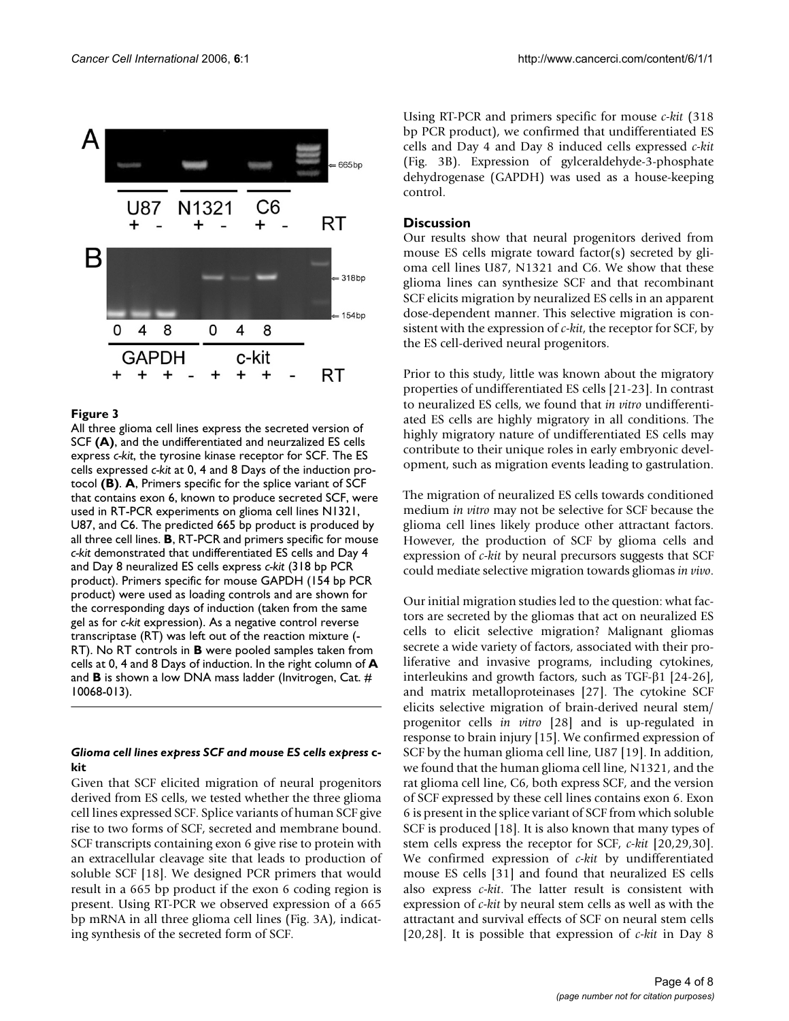

## Figure 3

All three glioma cell lines express the secreted version of SCF **(A)**, and the undifferentiated and neurzalized ES cells express *c-kit*, the tyrosine kinase receptor for SCF. The ES cells expressed *c-kit* at 0, 4 and 8 Days of the induction protocol **(B)**. **A**, Primers specific for the splice variant of SCF that contains exon 6, known to produce secreted SCF, were used in RT-PCR experiments on glioma cell lines N1321, U87, and C6. The predicted 665 bp product is produced by all three cell lines. **B**, RT-PCR and primers specific for mouse *c-kit* demonstrated that undifferentiated ES cells and Day 4 and Day 8 neuralized ES cells express *c-kit* (318 bp PCR product). Primers specific for mouse GAPDH (154 bp PCR product) were used as loading controls and are shown for the corresponding days of induction (taken from the same gel as for *c-kit* expression). As a negative control reverse transcriptase (RT) was left out of the reaction mixture (- RT). No RT controls in **B** were pooled samples taken from cells at 0, 4 and 8 Days of induction. In the right column of **A**  and **B** is shown a low DNA mass ladder (Invitrogen, Cat. # 10068-013).

## *Glioma cell lines express SCF and mouse ES cells express* **ckit**

Given that SCF elicited migration of neural progenitors derived from ES cells, we tested whether the three glioma cell lines expressed SCF. Splice variants of human SCF give rise to two forms of SCF, secreted and membrane bound. SCF transcripts containing exon 6 give rise to protein with an extracellular cleavage site that leads to production of soluble SCF [18]. We designed PCR primers that would result in a 665 bp product if the exon 6 coding region is present. Using RT-PCR we observed expression of a 665 bp mRNA in all three glioma cell lines (Fig. 3A), indicating synthesis of the secreted form of SCF.

Using RT-PCR and primers specific for mouse *c-kit* (318 bp PCR product), we confirmed that undifferentiated ES cells and Day 4 and Day 8 induced cells expressed *c-kit* (Fig. 3B). Expression of gylceraldehyde-3-phosphate dehydrogenase (GAPDH) was used as a house-keeping control.

## **Discussion**

Our results show that neural progenitors derived from mouse ES cells migrate toward factor(s) secreted by glioma cell lines U87, N1321 and C6. We show that these glioma lines can synthesize SCF and that recombinant SCF elicits migration by neuralized ES cells in an apparent dose-dependent manner. This selective migration is consistent with the expression of *c-kit*, the receptor for SCF, by the ES cell-derived neural progenitors.

Prior to this study, little was known about the migratory properties of undifferentiated ES cells [21-23]. In contrast to neuralized ES cells, we found that *in vitro* undifferentiated ES cells are highly migratory in all conditions. The highly migratory nature of undifferentiated ES cells may contribute to their unique roles in early embryonic development, such as migration events leading to gastrulation.

The migration of neuralized ES cells towards conditioned medium *in vitro* may not be selective for SCF because the glioma cell lines likely produce other attractant factors. However, the production of SCF by glioma cells and expression of *c-kit* by neural precursors suggests that SCF could mediate selective migration towards gliomas *in vivo*.

Our initial migration studies led to the question: what factors are secreted by the gliomas that act on neuralized ES cells to elicit selective migration? Malignant gliomas secrete a wide variety of factors, associated with their proliferative and invasive programs, including cytokines, interleukins and growth factors, such as TGF-β1 [24-26], and matrix metalloproteinases [27]. The cytokine SCF elicits selective migration of brain-derived neural stem/ progenitor cells *in vitro* [28] and is up-regulated in response to brain injury [15]. We confirmed expression of SCF by the human glioma cell line, U87 [19]. In addition, we found that the human glioma cell line, N1321, and the rat glioma cell line, C6, both express SCF, and the version of SCF expressed by these cell lines contains exon 6. Exon 6 is present in the splice variant of SCF from which soluble SCF is produced [18]. It is also known that many types of stem cells express the receptor for SCF, *c-kit* [20,29,30]. We confirmed expression of *c-kit* by undifferentiated mouse ES cells [31] and found that neuralized ES cells also express *c-kit*. The latter result is consistent with expression of *c-kit* by neural stem cells as well as with the attractant and survival effects of SCF on neural stem cells [20,28]. It is possible that expression of *c-kit* in Day 8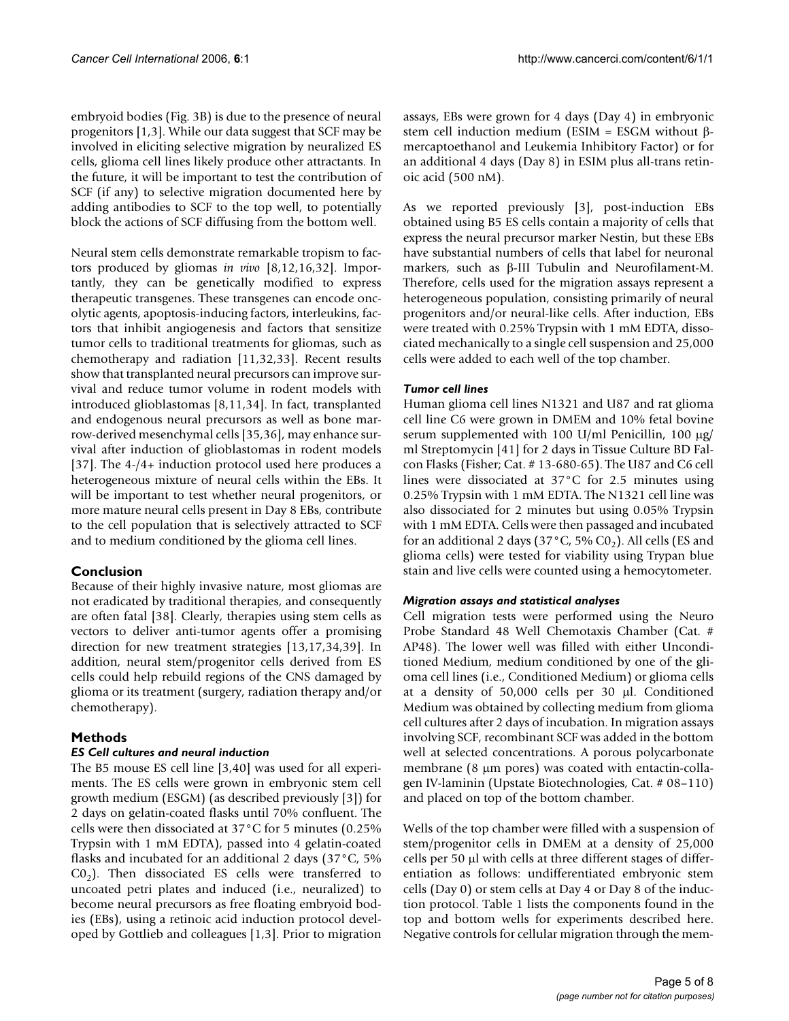embryoid bodies (Fig. 3B) is due to the presence of neural progenitors [1,3]. While our data suggest that SCF may be involved in eliciting selective migration by neuralized ES cells, glioma cell lines likely produce other attractants. In the future, it will be important to test the contribution of SCF (if any) to selective migration documented here by adding antibodies to SCF to the top well, to potentially block the actions of SCF diffusing from the bottom well.

Neural stem cells demonstrate remarkable tropism to factors produced by gliomas *in vivo* [8,12,16,32]. Importantly, they can be genetically modified to express therapeutic transgenes. These transgenes can encode oncolytic agents, apoptosis-inducing factors, interleukins, factors that inhibit angiogenesis and factors that sensitize tumor cells to traditional treatments for gliomas, such as chemotherapy and radiation [11,32,33]. Recent results show that transplanted neural precursors can improve survival and reduce tumor volume in rodent models with introduced glioblastomas [8,11,34]. In fact, transplanted and endogenous neural precursors as well as bone marrow-derived mesenchymal cells [35,36], may enhance survival after induction of glioblastomas in rodent models [37]. The 4-/4+ induction protocol used here produces a heterogeneous mixture of neural cells within the EBs. It will be important to test whether neural progenitors, or more mature neural cells present in Day 8 EBs, contribute to the cell population that is selectively attracted to SCF and to medium conditioned by the glioma cell lines.

## **Conclusion**

Because of their highly invasive nature, most gliomas are not eradicated by traditional therapies, and consequently are often fatal [38]. Clearly, therapies using stem cells as vectors to deliver anti-tumor agents offer a promising direction for new treatment strategies [13,17,34,39]. In addition, neural stem/progenitor cells derived from ES cells could help rebuild regions of the CNS damaged by glioma or its treatment (surgery, radiation therapy and/or chemotherapy).

## **Methods**

## *ES Cell cultures and neural induction*

The B5 mouse ES cell line [3,40] was used for all experiments. The ES cells were grown in embryonic stem cell growth medium (ESGM) (as described previously [3]) for 2 days on gelatin-coated flasks until 70% confluent. The cells were then dissociated at 37°C for 5 minutes (0.25% Trypsin with 1 mM EDTA), passed into 4 gelatin-coated flasks and incubated for an additional 2 days (37°C, 5%  $CO<sub>2</sub>$ ). Then dissociated ES cells were transferred to uncoated petri plates and induced (i.e., neuralized) to become neural precursors as free floating embryoid bodies (EBs), using a retinoic acid induction protocol developed by Gottlieb and colleagues [1,3]. Prior to migration assays, EBs were grown for 4 days (Day 4) in embryonic stem cell induction medium (ESIM = ESGM without βmercaptoethanol and Leukemia Inhibitory Factor) or for an additional 4 days (Day 8) in ESIM plus all-trans retinoic acid (500 nM).

As we reported previously [3], post-induction EBs obtained using B5 ES cells contain a majority of cells that express the neural precursor marker Nestin, but these EBs have substantial numbers of cells that label for neuronal markers, such as β-III Tubulin and Neurofilament-M. Therefore, cells used for the migration assays represent a heterogeneous population, consisting primarily of neural progenitors and/or neural-like cells. After induction, EBs were treated with 0.25% Trypsin with 1 mM EDTA, dissociated mechanically to a single cell suspension and 25,000 cells were added to each well of the top chamber.

## *Tumor cell lines*

Human glioma cell lines N1321 and U87 and rat glioma cell line C6 were grown in DMEM and 10% fetal bovine serum supplemented with 100 U/ml Penicillin, 100  $\mu$ g/ ml Streptomycin [41] for 2 days in Tissue Culture BD Falcon Flasks (Fisher; Cat. # 13-680-65). The U87 and C6 cell lines were dissociated at 37°C for 2.5 minutes using 0.25% Trypsin with 1 mM EDTA. The N1321 cell line was also dissociated for 2 minutes but using 0.05% Trypsin with 1 mM EDTA. Cells were then passaged and incubated for an additional 2 days (37 $^{\circ}$ C, 5% C0<sub>2</sub>). All cells (ES and glioma cells) were tested for viability using Trypan blue stain and live cells were counted using a hemocytometer.

## *Migration assays and statistical analyses*

Cell migration tests were performed using the Neuro Probe Standard 48 Well Chemotaxis Chamber (Cat. # AP48). The lower well was filled with either Unconditioned Medium, medium conditioned by one of the glioma cell lines (i.e., Conditioned Medium) or glioma cells at a density of 50,000 cells per 30 µl. Conditioned Medium was obtained by collecting medium from glioma cell cultures after 2 days of incubation. In migration assays involving SCF, recombinant SCF was added in the bottom well at selected concentrations. A porous polycarbonate membrane (8 µm pores) was coated with entactin-collagen IV-laminin (Upstate Biotechnologies, Cat. # 08–110) and placed on top of the bottom chamber.

Wells of the top chamber were filled with a suspension of stem/progenitor cells in DMEM at a density of 25,000 cells per 50 µl with cells at three different stages of differentiation as follows: undifferentiated embryonic stem cells (Day 0) or stem cells at Day 4 or Day 8 of the induction protocol. Table 1 lists the components found in the top and bottom wells for experiments described here. Negative controls for cellular migration through the mem-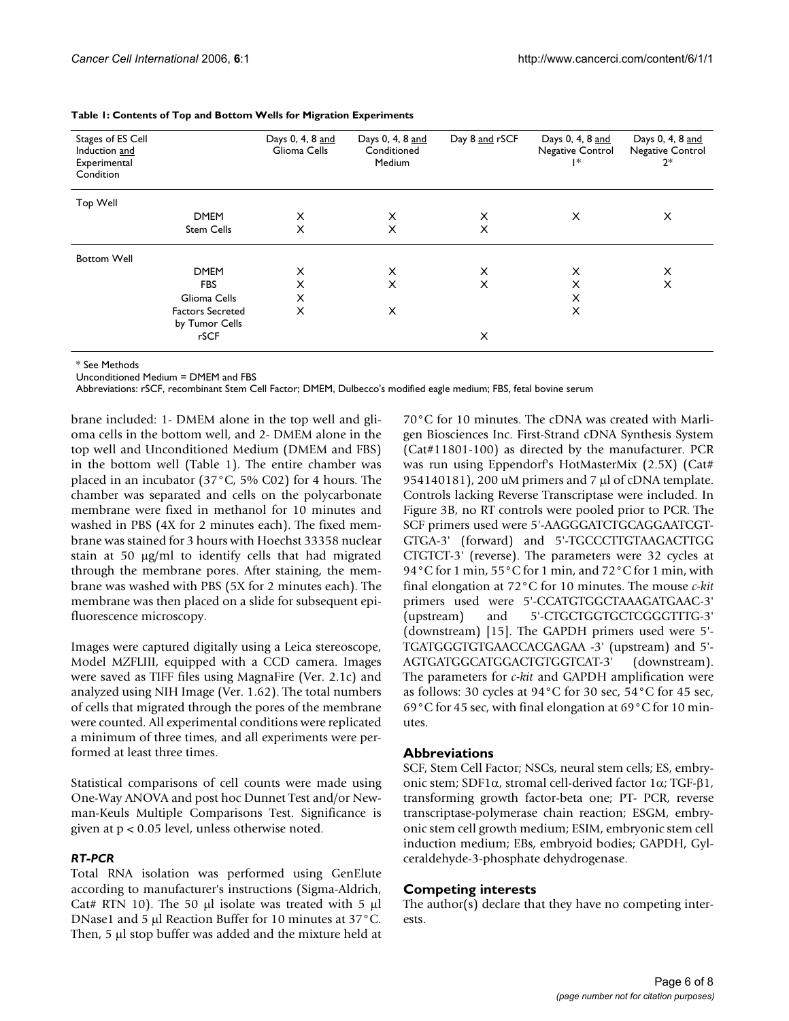| Stages of ES Cell<br>Induction and<br>Experimental<br>Condition |                                           | Days 0, 4, 8 and<br>Glioma Cells | Days 0, 4, 8 and<br>Conditioned<br>Medium | Day 8 and rSCF | Days 0, 4, 8 and<br>Negative Control<br>l∗ | Days 0, 4, 8 and<br>Negative Control<br>$2*$ |
|-----------------------------------------------------------------|-------------------------------------------|----------------------------------|-------------------------------------------|----------------|--------------------------------------------|----------------------------------------------|
| Top Well                                                        |                                           |                                  |                                           |                |                                            |                                              |
|                                                                 | <b>DMEM</b>                               | X                                | $\times$                                  | X              | X                                          | X                                            |
|                                                                 | <b>Stem Cells</b>                         | X                                | X                                         | X              |                                            |                                              |
| <b>Bottom Well</b>                                              |                                           |                                  |                                           |                |                                            |                                              |
|                                                                 | <b>DMEM</b>                               | X                                | X                                         | X              | X                                          | X                                            |
|                                                                 | <b>FBS</b>                                | X                                | $\times$                                  | X              | X                                          | X                                            |
|                                                                 | Glioma Cells                              | X                                |                                           |                | X                                          |                                              |
|                                                                 | <b>Factors Secreted</b><br>by Tumor Cells | X                                | X                                         |                | X                                          |                                              |
|                                                                 | rSCF                                      |                                  |                                           | X              |                                            |                                              |

#### **Table 1: Contents of Top and Bottom Wells for Migration Experiments**

\* See Methods

Unconditioned Medium = DMEM and FBS

Abbreviations: rSCF, recombinant Stem Cell Factor; DMEM, Dulbecco's modified eagle medium; FBS, fetal bovine serum

brane included: 1- DMEM alone in the top well and glioma cells in the bottom well, and 2- DMEM alone in the top well and Unconditioned Medium (DMEM and FBS) in the bottom well (Table 1). The entire chamber was placed in an incubator (37°C, 5% C02) for 4 hours. The chamber was separated and cells on the polycarbonate membrane were fixed in methanol for 10 minutes and washed in PBS (4X for 2 minutes each). The fixed membrane was stained for 3 hours with Hoechst 33358 nuclear stain at 50 µg/ml to identify cells that had migrated through the membrane pores. After staining, the membrane was washed with PBS (5X for 2 minutes each). The membrane was then placed on a slide for subsequent epifluorescence microscopy.

Images were captured digitally using a Leica stereoscope, Model MZFLIII, equipped with a CCD camera. Images were saved as TIFF files using MagnaFire (Ver. 2.1c) and analyzed using NIH Image (Ver. 1.62). The total numbers of cells that migrated through the pores of the membrane were counted. All experimental conditions were replicated a minimum of three times, and all experiments were performed at least three times.

Statistical comparisons of cell counts were made using One-Way ANOVA and post hoc Dunnet Test and/or Newman-Keuls Multiple Comparisons Test. Significance is given at p < 0.05 level, unless otherwise noted.

#### *RT-PCR*

Total RNA isolation was performed using GenElute according to manufacturer's instructions (Sigma-Aldrich, Cat# RTN 10). The 50  $\mu$ l isolate was treated with 5  $\mu$ l DNase1 and 5 µl Reaction Buffer for 10 minutes at 37°C. Then, 5 µl stop buffer was added and the mixture held at 70°C for 10 minutes. The cDNA was created with Marligen Biosciences Inc. First-Strand cDNA Synthesis System (Cat#11801-100) as directed by the manufacturer. PCR was run using Eppendorf's HotMasterMix (2.5X) (Cat# 954140181), 200 uM primers and 7 µl of cDNA template. Controls lacking Reverse Transcriptase were included. In Figure 3B, no RT controls were pooled prior to PCR. The SCF primers used were 5'-AAGGGATCTGCAGGAATCGT-GTGA-3' (forward) and 5'-TGCCCTTGTAAGACTTGG CTGTCT-3' (reverse). The parameters were 32 cycles at 94°C for 1 min, 55°C for 1 min, and 72°C for 1 min, with final elongation at 72°C for 10 minutes. The mouse *c-kit* primers used were 5'-CCATGTGGCTAAAGATGAAC-3' (upstream) and 5'-CTGCTGGTGCTCGGGTTTG-3' (downstream) [15]. The GAPDH primers used were 5'- TGATGGGTGTGAACCACGAGAA -3' (upstream) and 5'- AGTGATGGCATGGACTGTGGTCAT-3' (downstream). The parameters for *c-kit* and GAPDH amplification were as follows: 30 cycles at 94°C for 30 sec, 54°C for 45 sec, 69°C for 45 sec, with final elongation at 69°C for 10 minutes.

#### **Abbreviations**

SCF, Stem Cell Factor; NSCs, neural stem cells; ES, embryonic stem; SDF1α, stromal cell-derived factor 1α; TGF-β1, transforming growth factor-beta one; PT- PCR, reverse transcriptase-polymerase chain reaction; ESGM, embryonic stem cell growth medium; ESIM, embryonic stem cell induction medium; EBs, embryoid bodies; GAPDH, Gylceraldehyde-3-phosphate dehydrogenase.

#### **Competing interests**

The author(s) declare that they have no competing interests.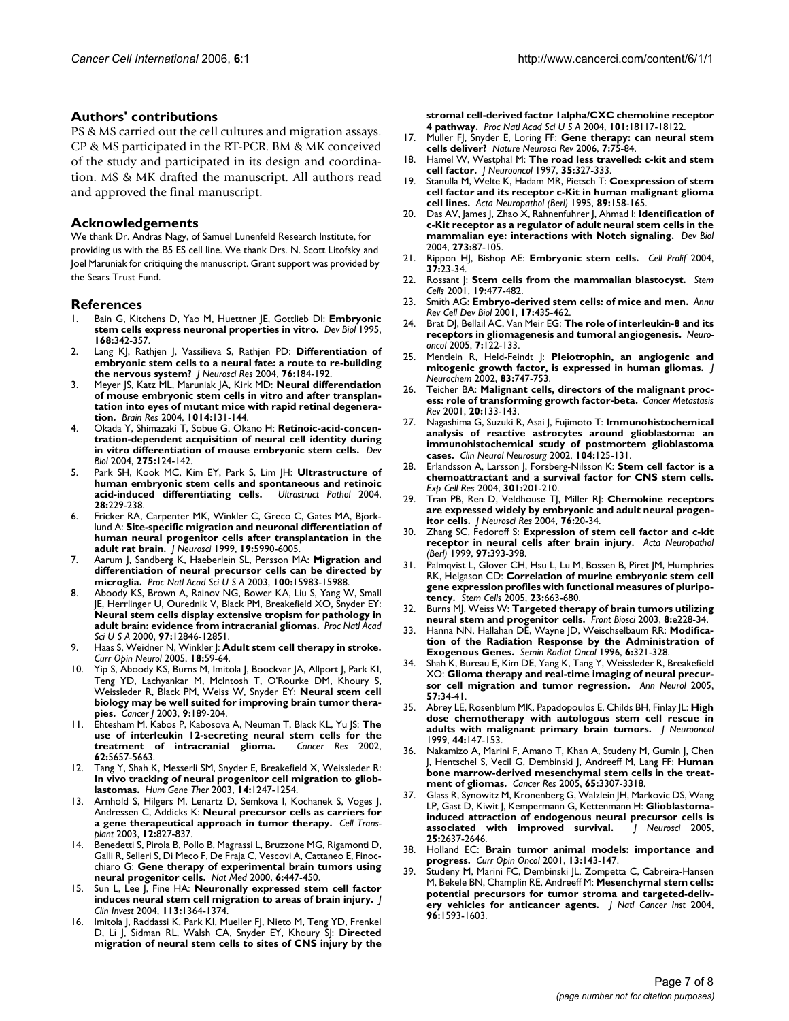## **Authors' contributions**

PS & MS carried out the cell cultures and migration assays. CP & MS participated in the RT-PCR. BM & MK conceived of the study and participated in its design and coordination. MS & MK drafted the manuscript. All authors read and approved the final manuscript.

## **Acknowledgements**

We thank Dr. Andras Nagy, of Samuel Lunenfeld Research Institute, for providing us with the B5 ES cell line. We thank Drs. N. Scott Litofsky and Joel Maruniak for critiquing the manuscript. Grant support was provided by the Sears Trust Fund.

#### **References**

- 1. Bain G, Kitchens D, Yao M, Huettner JE, Gottlieb DI: **[Embryonic](http://www.ncbi.nlm.nih.gov/entrez/query.fcgi?cmd=Retrieve&db=PubMed&dopt=Abstract&list_uids=7729574) [stem cells express neuronal properties in vitro.](http://www.ncbi.nlm.nih.gov/entrez/query.fcgi?cmd=Retrieve&db=PubMed&dopt=Abstract&list_uids=7729574)** *Dev Biol* 1995, **168:**342-357.
- 2. Lang KJ, Rathjen J, Vassilieva S, Rathjen PD: **[Differentiation of](http://www.ncbi.nlm.nih.gov/entrez/query.fcgi?cmd=Retrieve&db=PubMed&dopt=Abstract&list_uids=15048916) [embryonic stem cells to a neural fate: a route to re-building](http://www.ncbi.nlm.nih.gov/entrez/query.fcgi?cmd=Retrieve&db=PubMed&dopt=Abstract&list_uids=15048916) [the nervous system?](http://www.ncbi.nlm.nih.gov/entrez/query.fcgi?cmd=Retrieve&db=PubMed&dopt=Abstract&list_uids=15048916)** *J Neurosci Res* 2004, **76:**184-192.
- 3. Meyer JS, Katz ML, Maruniak JA, Kirk MD: **[Neural differentiation](http://www.ncbi.nlm.nih.gov/entrez/query.fcgi?cmd=Retrieve&db=PubMed&dopt=Abstract&list_uids=15212999) of mouse embryonic stem cells in vitro and after transplan[tation into eyes of mutant mice with rapid retinal degenera](http://www.ncbi.nlm.nih.gov/entrez/query.fcgi?cmd=Retrieve&db=PubMed&dopt=Abstract&list_uids=15212999)[tion.](http://www.ncbi.nlm.nih.gov/entrez/query.fcgi?cmd=Retrieve&db=PubMed&dopt=Abstract&list_uids=15212999)** *Brain Res* 2004, **1014:**131-144.
- 4. Okada Y, Shimazaki T, Sobue G, Okano H: **[Retinoic-acid-concen](http://www.ncbi.nlm.nih.gov/entrez/query.fcgi?cmd=Retrieve&db=PubMed&dopt=Abstract&list_uids=15464577)[tration-dependent acquisition of neural cell identity during](http://www.ncbi.nlm.nih.gov/entrez/query.fcgi?cmd=Retrieve&db=PubMed&dopt=Abstract&list_uids=15464577) [in vitro differentiation of mouse embryonic stem cells.](http://www.ncbi.nlm.nih.gov/entrez/query.fcgi?cmd=Retrieve&db=PubMed&dopt=Abstract&list_uids=15464577)** *Dev Biol* 2004, **275:**124-142.
- 5. Park SH, Kook MC, Kim EY, Park S, Lim JH: **[Ultrastructure of](http://www.ncbi.nlm.nih.gov/entrez/query.fcgi?cmd=Retrieve&db=PubMed&dopt=Abstract&list_uids=15693634) [human embryonic stem cells and spontaneous and retinoic](http://www.ncbi.nlm.nih.gov/entrez/query.fcgi?cmd=Retrieve&db=PubMed&dopt=Abstract&list_uids=15693634) [acid-induced differentiating cells.](http://www.ncbi.nlm.nih.gov/entrez/query.fcgi?cmd=Retrieve&db=PubMed&dopt=Abstract&list_uids=15693634)** *Ultrastruct Pathol* 2004, **28:**229-238.
- 6. Fricker RA, Carpenter MK, Winkler C, Greco C, Gates MA, Bjorklund A: **[Site-specific migration and neuronal differentiation of](http://www.ncbi.nlm.nih.gov/entrez/query.fcgi?cmd=Retrieve&db=PubMed&dopt=Abstract&list_uids=10407037) [human neural progenitor cells after transplantation in the](http://www.ncbi.nlm.nih.gov/entrez/query.fcgi?cmd=Retrieve&db=PubMed&dopt=Abstract&list_uids=10407037) [adult rat brain.](http://www.ncbi.nlm.nih.gov/entrez/query.fcgi?cmd=Retrieve&db=PubMed&dopt=Abstract&list_uids=10407037)** *J Neurosci* 1999, **19:**5990-6005.
- 7. Aarum J, Sandberg K, Haeberlein SL, Persson MA: **[Migration and](http://www.ncbi.nlm.nih.gov/entrez/query.fcgi?cmd=Retrieve&db=PubMed&dopt=Abstract&list_uids=14668448) [differentiation of neural precursor cells can be directed by](http://www.ncbi.nlm.nih.gov/entrez/query.fcgi?cmd=Retrieve&db=PubMed&dopt=Abstract&list_uids=14668448) [microglia.](http://www.ncbi.nlm.nih.gov/entrez/query.fcgi?cmd=Retrieve&db=PubMed&dopt=Abstract&list_uids=14668448)** *Proc Natl Acad Sci U S A* 2003, **100:**15983-15988.
- 8. Aboody KS, Brown A, Rainov NG, Bower KA, Liu S, Yang W, Small JE, Herrlinger U, Ourednik V, Black PM, Breakefield XO, Snyder EY: **[Neural stem cells display extensive tropism for pathology in](http://www.ncbi.nlm.nih.gov/entrez/query.fcgi?cmd=Retrieve&db=PubMed&dopt=Abstract&list_uids=11070094) [adult brain: evidence from intracranial gliomas.](http://www.ncbi.nlm.nih.gov/entrez/query.fcgi?cmd=Retrieve&db=PubMed&dopt=Abstract&list_uids=11070094)** *Proc Natl Acad Sci U S A* 2000, **97:**12846-12851.
- 9. Haas S, Weidner N, Winkler J: **[Adult stem cell therapy in stroke.](http://www.ncbi.nlm.nih.gov/entrez/query.fcgi?cmd=Retrieve&db=PubMed&dopt=Abstract&list_uids=15655404)** *Curr Opin Neurol* 2005, **18:**59-64.
- 10. Yip S, Aboody KS, Burns M, Imitola J, Boockvar JA, Allport J, Park KI, Teng YD, Lachyankar M, McIntosh T, O'Rourke DM, Khoury S, Weissleder R, Black PM, Weiss W, Snyder EY: **[Neural stem cell](http://www.ncbi.nlm.nih.gov/entrez/query.fcgi?cmd=Retrieve&db=PubMed&dopt=Abstract&list_uids=12952304) [biology may be well suited for improving brain tumor thera](http://www.ncbi.nlm.nih.gov/entrez/query.fcgi?cmd=Retrieve&db=PubMed&dopt=Abstract&list_uids=12952304)[pies.](http://www.ncbi.nlm.nih.gov/entrez/query.fcgi?cmd=Retrieve&db=PubMed&dopt=Abstract&list_uids=12952304)** *Cancer J* 2003, **9:**189-204.
- 11. Ehtesham M, Kabos P, Kabosova A, Neuman T, Black KL, Yu JS: **[The](http://www.ncbi.nlm.nih.gov/entrez/query.fcgi?cmd=Retrieve&db=PubMed&dopt=Abstract&list_uids=12384520) [use of interleukin 12-secreting neural stem cells for the](http://www.ncbi.nlm.nih.gov/entrez/query.fcgi?cmd=Retrieve&db=PubMed&dopt=Abstract&list_uids=12384520) [treatment of intracranial glioma.](http://www.ncbi.nlm.nih.gov/entrez/query.fcgi?cmd=Retrieve&db=PubMed&dopt=Abstract&list_uids=12384520)** *Cancer Res* 2002, **62:**5657-5663.
- 12. Tang Y, Shah K, Messerli SM, Snyder E, Breakefield X, Weissleder R: **[In vivo tracking of neural progenitor cell migration to gliob](http://www.ncbi.nlm.nih.gov/entrez/query.fcgi?cmd=Retrieve&db=PubMed&dopt=Abstract&list_uids=12952596)[lastomas.](http://www.ncbi.nlm.nih.gov/entrez/query.fcgi?cmd=Retrieve&db=PubMed&dopt=Abstract&list_uids=12952596)** *Hum Gene Ther* 2003, **14:**1247-1254.
- 13. Arnhold S, Hilgers M, Lenartz D, Semkova I, Kochanek S, Voges J, Andressen C, Addicks K: **[Neural precursor cells as carriers for](http://www.ncbi.nlm.nih.gov/entrez/query.fcgi?cmd=Retrieve&db=PubMed&dopt=Abstract&list_uids=14763502) [a gene therapeutical approach in tumor therapy.](http://www.ncbi.nlm.nih.gov/entrez/query.fcgi?cmd=Retrieve&db=PubMed&dopt=Abstract&list_uids=14763502)** *Cell Transplant* 2003, **12:**827-837.
- 14. Benedetti S, Pirola B, Pollo B, Magrassi L, Bruzzone MG, Rigamonti D, Galli R, Selleri S, Di Meco F, De Fraja C, Vescovi A, Cattaneo E, Finocchiaro G: **[Gene therapy of experimental brain tumors using](http://www.ncbi.nlm.nih.gov/entrez/query.fcgi?cmd=Retrieve&db=PubMed&dopt=Abstract&list_uids=10742153) [neural progenitor cells.](http://www.ncbi.nlm.nih.gov/entrez/query.fcgi?cmd=Retrieve&db=PubMed&dopt=Abstract&list_uids=10742153)** *Nat Med* 2000, **6:**447-450.
- 15. Sun L, Lee J, Fine HA: **[Neuronally expressed stem cell factor](http://www.ncbi.nlm.nih.gov/entrez/query.fcgi?cmd=Retrieve&db=PubMed&dopt=Abstract&list_uids=15124028) [induces neural stem cell migration to areas of brain injury.](http://www.ncbi.nlm.nih.gov/entrez/query.fcgi?cmd=Retrieve&db=PubMed&dopt=Abstract&list_uids=15124028)** *J Clin Invest* 2004, **113:**1364-1374.
- Imitola J, Raddassi K, Park KI, Mueller FJ, Nieto M, Teng YD, Frenkel D, Li J, Sidman RL, Walsh CA, Snyder EY, Khoury SJ: **[Directed](http://www.ncbi.nlm.nih.gov/entrez/query.fcgi?cmd=Retrieve&db=PubMed&dopt=Abstract&list_uids=15608062) [migration of neural stem cells to sites of CNS injury by the](http://www.ncbi.nlm.nih.gov/entrez/query.fcgi?cmd=Retrieve&db=PubMed&dopt=Abstract&list_uids=15608062)**

**[stromal cell-derived factor 1alpha/CXC chemokine receptor](http://www.ncbi.nlm.nih.gov/entrez/query.fcgi?cmd=Retrieve&db=PubMed&dopt=Abstract&list_uids=15608062) [4 pathway.](http://www.ncbi.nlm.nih.gov/entrez/query.fcgi?cmd=Retrieve&db=PubMed&dopt=Abstract&list_uids=15608062)** *Proc Natl Acad Sci U S A* 2004, **101:**18117-18122.

- 17. Muller FJ, Snyder E, Loring FF: **Gene therapy: can neural stem cells deliver?** *Nature Neurosci Rev* 2006, **7:**75-84.
- 18. Hamel W, Westphal M: **[The road less travelled: c-kit and stem](http://www.ncbi.nlm.nih.gov/entrez/query.fcgi?cmd=Retrieve&db=PubMed&dopt=Abstract&list_uids=9440029) [cell factor.](http://www.ncbi.nlm.nih.gov/entrez/query.fcgi?cmd=Retrieve&db=PubMed&dopt=Abstract&list_uids=9440029)** *J Neurooncol* 1997, **35:**327-333.
- 19. Stanulla M, Welte K, Hadam MR, Pietsch T: **[Coexpression of stem](http://www.ncbi.nlm.nih.gov/entrez/query.fcgi?cmd=Retrieve&db=PubMed&dopt=Abstract&list_uids=7537428) [cell factor and its receptor c-Kit in human malignant glioma](http://www.ncbi.nlm.nih.gov/entrez/query.fcgi?cmd=Retrieve&db=PubMed&dopt=Abstract&list_uids=7537428) [cell lines.](http://www.ncbi.nlm.nih.gov/entrez/query.fcgi?cmd=Retrieve&db=PubMed&dopt=Abstract&list_uids=7537428)** *Acta Neuropathol (Berl)* 1995, **89:**158-165.
- 20. Das AV, James J, Zhao X, Rahnenfuhrer J, Ahmad I: **[Identification of](http://www.ncbi.nlm.nih.gov/entrez/query.fcgi?cmd=Retrieve&db=PubMed&dopt=Abstract&list_uids=15302600) [c-Kit receptor as a regulator of adult neural stem cells in the](http://www.ncbi.nlm.nih.gov/entrez/query.fcgi?cmd=Retrieve&db=PubMed&dopt=Abstract&list_uids=15302600) [mammalian eye: interactions with Notch signaling.](http://www.ncbi.nlm.nih.gov/entrez/query.fcgi?cmd=Retrieve&db=PubMed&dopt=Abstract&list_uids=15302600)** *Dev Biol* 2004, **273:**87-105.
- 21. Rippon HJ, Bishop AE: **[Embryonic stem cells.](http://www.ncbi.nlm.nih.gov/entrez/query.fcgi?cmd=Retrieve&db=PubMed&dopt=Abstract&list_uids=14871235)** *Cell Prolif* 2004, **37:**23-34.
- 22. Rossant J: **[Stem cells from the mammalian blastocyst.](http://www.ncbi.nlm.nih.gov/entrez/query.fcgi?cmd=Retrieve&db=PubMed&dopt=Abstract&list_uids=11713338)** *Stem Cells* 2001, **19:**477-482.
- 23. Smith AG: **[Embryo-derived stem cells: of mice and men.](http://www.ncbi.nlm.nih.gov/entrez/query.fcgi?cmd=Retrieve&db=PubMed&dopt=Abstract&list_uids=11687496)** *Annu Rev Cell Dev Biol* 2001, **17:**435-462.
- 24. Brat DJ, Bellail AC, Van Meir EG: **[The role of interleukin-8 and its](http://www.ncbi.nlm.nih.gov/entrez/query.fcgi?cmd=Retrieve&db=PubMed&dopt=Abstract&list_uids=15831231) [receptors in gliomagenesis and tumoral angiogenesis.](http://www.ncbi.nlm.nih.gov/entrez/query.fcgi?cmd=Retrieve&db=PubMed&dopt=Abstract&list_uids=15831231)** *Neurooncol* 2005, **7:**122-133.
- 25. Mentlein R, Held-Feindt J: **[Pleiotrophin, an angiogenic and](http://www.ncbi.nlm.nih.gov/entrez/query.fcgi?cmd=Retrieve&db=PubMed&dopt=Abstract&list_uids=12421346) [mitogenic growth factor, is expressed in human gliomas.](http://www.ncbi.nlm.nih.gov/entrez/query.fcgi?cmd=Retrieve&db=PubMed&dopt=Abstract&list_uids=12421346)** *J Neurochem* 2002, **83:**747-753.
- 26. Teicher BA: **[Malignant cells, directors of the malignant proc](http://www.ncbi.nlm.nih.gov/entrez/query.fcgi?cmd=Retrieve&db=PubMed&dopt=Abstract&list_uids=11831642)[ess: role of transforming growth factor-beta.](http://www.ncbi.nlm.nih.gov/entrez/query.fcgi?cmd=Retrieve&db=PubMed&dopt=Abstract&list_uids=11831642)** *Cancer Metastasis Rev* 2001, **20:**133-143.
- 27. Nagashima G, Suzuki R, Asai J, Fujimoto T: **[Immunohistochemical](http://www.ncbi.nlm.nih.gov/entrez/query.fcgi?cmd=Retrieve&db=PubMed&dopt=Abstract&list_uids=11932042) analysis of reactive astrocytes around glioblastoma: an [immunohistochemical study of postmortem glioblastoma](http://www.ncbi.nlm.nih.gov/entrez/query.fcgi?cmd=Retrieve&db=PubMed&dopt=Abstract&list_uids=11932042) [cases.](http://www.ncbi.nlm.nih.gov/entrez/query.fcgi?cmd=Retrieve&db=PubMed&dopt=Abstract&list_uids=11932042)** *Clin Neurol Neurosurg* 2002, **104:**125-131.
- 28. Erlandsson A, Larsson J, Forsberg-Nilsson K: **[Stem cell factor is a](http://www.ncbi.nlm.nih.gov/entrez/query.fcgi?cmd=Retrieve&db=PubMed&dopt=Abstract&list_uids=15530856) [chemoattractant and a survival factor for CNS stem cells.](http://www.ncbi.nlm.nih.gov/entrez/query.fcgi?cmd=Retrieve&db=PubMed&dopt=Abstract&list_uids=15530856)** *Exp Cell Res* 2004, **301:**201-210.
- 29. Tran PB, Ren D, Veldhouse TJ, Miller RJ: **[Chemokine receptors](http://www.ncbi.nlm.nih.gov/entrez/query.fcgi?cmd=Retrieve&db=PubMed&dopt=Abstract&list_uids=15048927) [are expressed widely by embryonic and adult neural progen](http://www.ncbi.nlm.nih.gov/entrez/query.fcgi?cmd=Retrieve&db=PubMed&dopt=Abstract&list_uids=15048927)[itor cells.](http://www.ncbi.nlm.nih.gov/entrez/query.fcgi?cmd=Retrieve&db=PubMed&dopt=Abstract&list_uids=15048927)** *J Neurosci Res* 2004, **76:**20-34.
- 30. Zhang SC, Fedoroff S: **[Expression of stem cell factor and c-kit](http://www.ncbi.nlm.nih.gov/entrez/query.fcgi?cmd=Retrieve&db=PubMed&dopt=Abstract&list_uids=10208279) [receptor in neural cells after brain injury.](http://www.ncbi.nlm.nih.gov/entrez/query.fcgi?cmd=Retrieve&db=PubMed&dopt=Abstract&list_uids=10208279)** *Acta Neuropathol (Berl)* 1999, **97:**393-398.
- 31. Palmqvist L, Glover CH, Hsu L, Lu M, Bossen B, Piret JM, Humphries RK, Helgason CD: **[Correlation of murine embryonic stem cell](http://www.ncbi.nlm.nih.gov/entrez/query.fcgi?cmd=Retrieve&db=PubMed&dopt=Abstract&list_uids=15849174) [gene expression profiles with functional measures of pluripo](http://www.ncbi.nlm.nih.gov/entrez/query.fcgi?cmd=Retrieve&db=PubMed&dopt=Abstract&list_uids=15849174)[tency.](http://www.ncbi.nlm.nih.gov/entrez/query.fcgi?cmd=Retrieve&db=PubMed&dopt=Abstract&list_uids=15849174)** *Stem Cells* 2005, **23:**663-680.
- 32. Burns MJ, Weiss W: **[Targeted therapy of brain tumors utilizing](http://www.ncbi.nlm.nih.gov/entrez/query.fcgi?cmd=Retrieve&db=PubMed&dopt=Abstract&list_uids=12456351) [neural stem and progenitor cells.](http://www.ncbi.nlm.nih.gov/entrez/query.fcgi?cmd=Retrieve&db=PubMed&dopt=Abstract&list_uids=12456351)** *Front Biosci* 2003, **8:**e228-34.
- 33. Hanna NN, Hallahan DE, Wayne JD, Weischselbaum RR: **[Modifica](http://www.ncbi.nlm.nih.gov/entrez/query.fcgi?cmd=Retrieve&db=PubMed&dopt=Abstract&list_uids=10717189)[tion of the Radiation Response by the Administration of](http://www.ncbi.nlm.nih.gov/entrez/query.fcgi?cmd=Retrieve&db=PubMed&dopt=Abstract&list_uids=10717189) [Exogenous Genes.](http://www.ncbi.nlm.nih.gov/entrez/query.fcgi?cmd=Retrieve&db=PubMed&dopt=Abstract&list_uids=10717189)** *Semin Radiat Oncol* 1996, **6:**321-328.
- 34. Shah K, Bureau E, Kim DE, Yang K, Tang Y, Weissleder R, Breakefield XO: **[Glioma therapy and real-time imaging of neural precur](http://www.ncbi.nlm.nih.gov/entrez/query.fcgi?cmd=Retrieve&db=PubMed&dopt=Abstract&list_uids=15622535)[sor cell migration and tumor regression.](http://www.ncbi.nlm.nih.gov/entrez/query.fcgi?cmd=Retrieve&db=PubMed&dopt=Abstract&list_uids=15622535)** *Ann Neurol* 2005, **57:**34-41.
- 35. Abrey LE, Rosenblum MK, Papadopoulos E, Childs BH, Finlay JL: **[High](http://www.ncbi.nlm.nih.gov/entrez/query.fcgi?cmd=Retrieve&db=PubMed&dopt=Abstract&list_uids=10619498) [dose chemotherapy with autologous stem cell rescue in](http://www.ncbi.nlm.nih.gov/entrez/query.fcgi?cmd=Retrieve&db=PubMed&dopt=Abstract&list_uids=10619498) [adults with malignant primary brain tumors.](http://www.ncbi.nlm.nih.gov/entrez/query.fcgi?cmd=Retrieve&db=PubMed&dopt=Abstract&list_uids=10619498)** *J Neurooncol* 1999, **44:**147-153.
- 36. Nakamizo A, Marini F, Amano T, Khan A, Studeny M, Gumin J, Chen J, Hentschel S, Vecil G, Dembinski J, Andreeff M, Lang FF: **[Human](http://www.ncbi.nlm.nih.gov/entrez/query.fcgi?cmd=Retrieve&db=PubMed&dopt=Abstract&list_uids=15833864) [bone marrow-derived mesenchymal stem cells in the treat](http://www.ncbi.nlm.nih.gov/entrez/query.fcgi?cmd=Retrieve&db=PubMed&dopt=Abstract&list_uids=15833864)[ment of gliomas.](http://www.ncbi.nlm.nih.gov/entrez/query.fcgi?cmd=Retrieve&db=PubMed&dopt=Abstract&list_uids=15833864)** *Cancer Res* 2005, **65:**3307-3318.
- Glass R, Synowitz M, Kronenberg G, Walzlein JH, Markovic DS, Wang LP, Gast D, Kiwit J, Kempermann G, Kettenmann H: **[Glioblastoma](http://www.ncbi.nlm.nih.gov/entrez/query.fcgi?cmd=Retrieve&db=PubMed&dopt=Abstract&list_uids=15758174)[induced attraction of endogenous neural precursor cells is](http://www.ncbi.nlm.nih.gov/entrez/query.fcgi?cmd=Retrieve&db=PubMed&dopt=Abstract&list_uids=15758174) [associated with improved survival.](http://www.ncbi.nlm.nih.gov/entrez/query.fcgi?cmd=Retrieve&db=PubMed&dopt=Abstract&list_uids=15758174)** *J Neurosci* 2005, **25:**2637-2646.
- 38. Holland EC: **[Brain tumor animal models: importance and](http://www.ncbi.nlm.nih.gov/entrez/query.fcgi?cmd=Retrieve&db=PubMed&dopt=Abstract&list_uids=11307055) [progress.](http://www.ncbi.nlm.nih.gov/entrez/query.fcgi?cmd=Retrieve&db=PubMed&dopt=Abstract&list_uids=11307055)** *Curr Opin Oncol* 2001, **13:**143-147.
- 39. Studeny M, Marini FC, Dembinski JL, Zompetta C, Cabreira-Hansen M, Bekele BN, Champlin RE, Andreeff M: **[Mesenchymal stem cells:](http://www.ncbi.nlm.nih.gov/entrez/query.fcgi?cmd=Retrieve&db=PubMed&dopt=Abstract&list_uids=15523088) [potential precursors for tumor stroma and targeted-deliv](http://www.ncbi.nlm.nih.gov/entrez/query.fcgi?cmd=Retrieve&db=PubMed&dopt=Abstract&list_uids=15523088)[ery vehicles for anticancer agents.](http://www.ncbi.nlm.nih.gov/entrez/query.fcgi?cmd=Retrieve&db=PubMed&dopt=Abstract&list_uids=15523088)** *J Natl Cancer Inst* 2004, **96:**1593-1603.